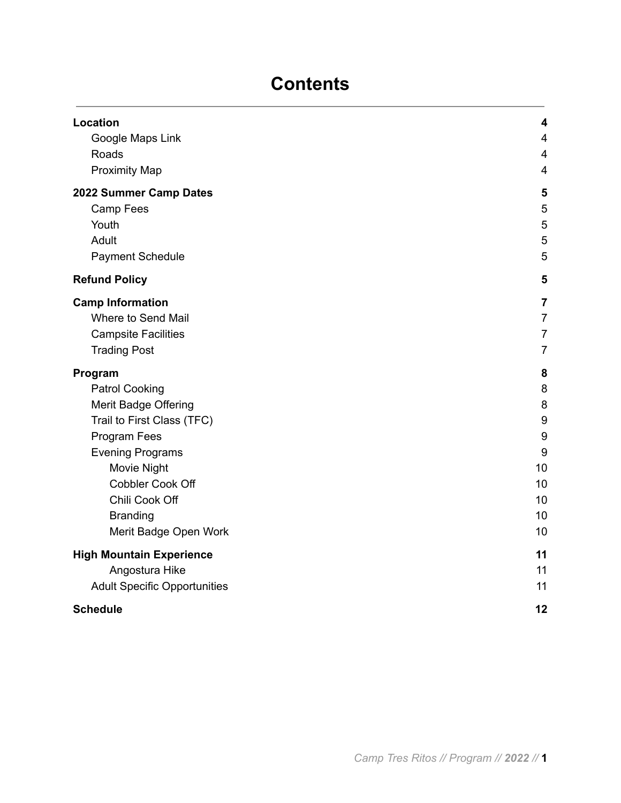# **Contents**

| Location                            | $\overline{\mathbf{4}}$ |
|-------------------------------------|-------------------------|
| Google Maps Link                    | $\overline{4}$          |
| Roads                               | $\overline{4}$          |
| <b>Proximity Map</b>                | $\overline{\mathbf{4}}$ |
| 2022 Summer Camp Dates              | 5                       |
| Camp Fees                           | 5                       |
| Youth                               | 5                       |
| Adult                               | 5                       |
| <b>Payment Schedule</b>             | 5                       |
| <b>Refund Policy</b>                | 5                       |
| <b>Camp Information</b>             | $\overline{7}$          |
| Where to Send Mail                  | $\overline{7}$          |
| <b>Campsite Facilities</b>          | $\overline{7}$          |
| <b>Trading Post</b>                 | $\overline{7}$          |
| Program                             | 8                       |
| <b>Patrol Cooking</b>               | 8                       |
| Merit Badge Offering                | 8                       |
| Trail to First Class (TFC)          | $\boldsymbol{9}$        |
| Program Fees                        | 9                       |
| <b>Evening Programs</b>             | 9                       |
| Movie Night                         | 10                      |
| Cobbler Cook Off                    | 10                      |
| Chili Cook Off                      | 10                      |
| <b>Branding</b>                     | 10                      |
| Merit Badge Open Work               | 10                      |
| <b>High Mountain Experience</b>     | 11                      |
| Angostura Hike                      | 11                      |
| <b>Adult Specific Opportunities</b> | 11                      |
| <b>Schedule</b>                     | 12                      |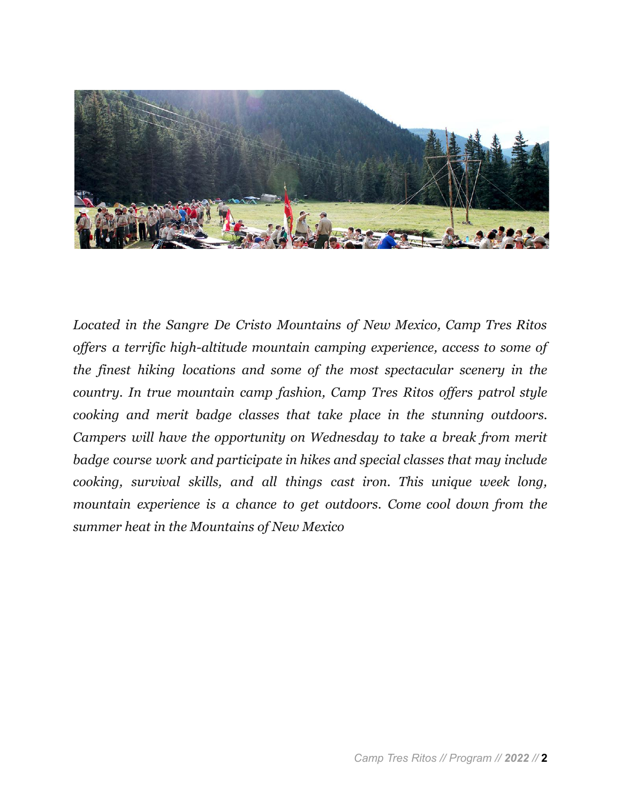

*Located in the Sangre De Cristo Mountains of New Mexico, Camp Tres Ritos of ers a terrific high-altitude mountain camping experience, access to some of the finest hiking locations and some of the most spectacular scenery in the country. In true mountain camp fashion, Camp Tres Ritos of ers patrol style cooking and merit badge classes that take place in the stunning outdoors. Campers will have the opportunity on Wednesday to take a break from merit badge course work and participate in hikes and special classes that may include cooking, survival skills, and all things cast iron. This unique week long, mountain experience is a chance to get outdoors. Come cool down from the summer heat in the Mountains of New Mexico*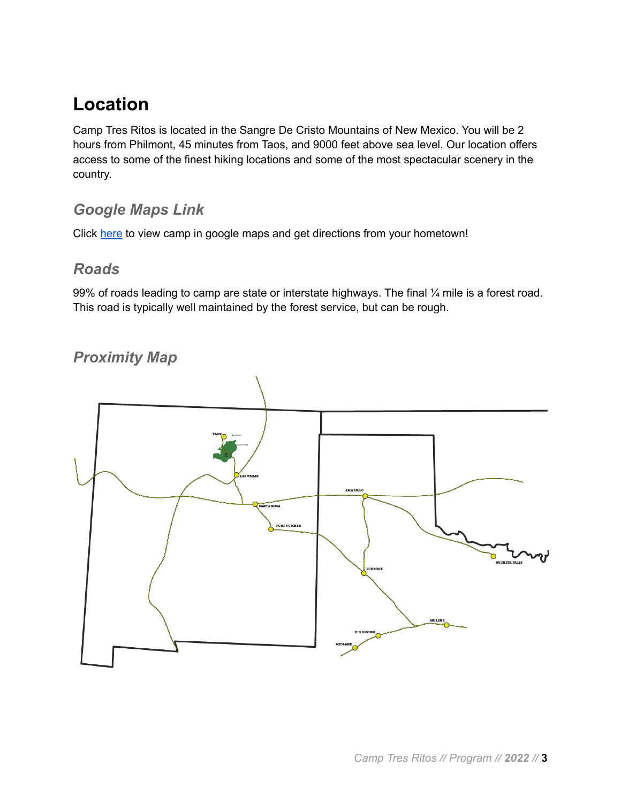# <span id="page-2-0"></span>**Location**

Camp Tres Ritos is located in the Sangre De Cristo Mountains of New Mexico. You will be 2 hours from Philmont, 45 minutes from Taos, and 9000 feet above sea level. Our location offers access to some of the finest hiking locations and some of the most spectacular scenery in the country.

#### <span id="page-2-1"></span>*Google Maps Link*

<span id="page-2-2"></span>Click [here](https://goo.gl/maps/6bArCpeXMtWqn8BRA) to view camp in google maps and get directions from your hometown!

#### *Roads*

99% of roads leading to camp are state or interstate highways. The final ¼ mile is a forest road. This road is typically well maintained by the forest service, but can be rough.

### <span id="page-2-3"></span>*Proximity Map*

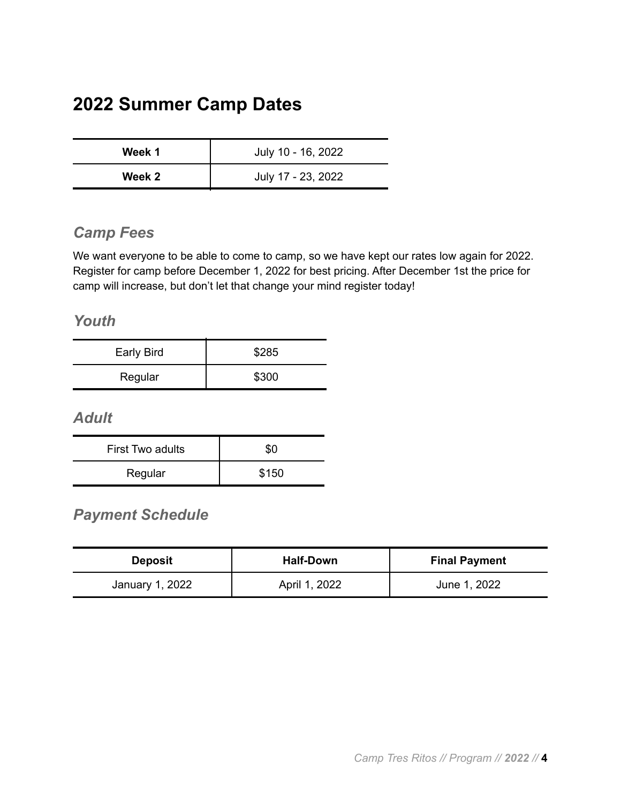## <span id="page-3-0"></span>**2022 Summer Camp Dates**

| Week 1 | July 10 - 16, 2022 |
|--------|--------------------|
| Week 2 | July 17 - 23, 2022 |

#### <span id="page-3-1"></span>*Camp Fees*

We want everyone to be able to come to camp, so we have kept our rates low again for 2022. Register for camp before December 1, 2022 for best pricing. After December 1st the price for camp will increase, but don't let that change your mind register today!

#### <span id="page-3-2"></span>*Youth*

| Early Bird | \$285 |
|------------|-------|
| Regular    | \$300 |

<span id="page-3-3"></span>*Adult*

| First Two adults | \$0   |
|------------------|-------|
| Regular          | \$150 |

### <span id="page-3-4"></span>*Payment Schedule*

<span id="page-3-5"></span>

| <b>Deposit</b>  | <b>Half-Down</b> | <b>Final Payment</b> |
|-----------------|------------------|----------------------|
| January 1, 2022 | April 1, 2022    | June 1, 2022         |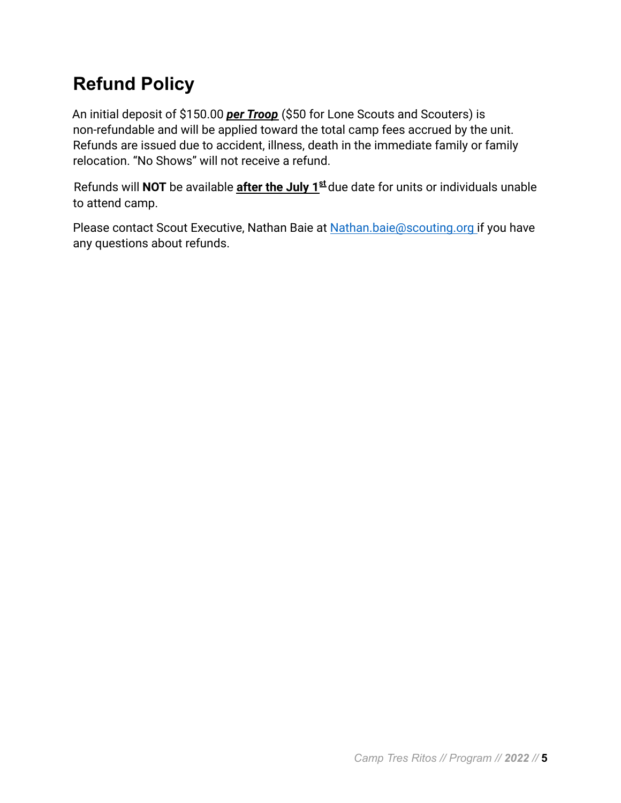# **Refund Policy**

An initial deposit of \$150.00 *per Troop* (\$50 for Lone Scouts and Scouters) is non-refundable and will be applied toward the total camp fees accrued by the unit. Refunds are issued due to accident, illness, death in the immediate family or family relocation. "No Shows" will not receive a refund.

Refunds will **NOT** be available **after the July 1st** due date for units or individuals unable to attend camp.

Please contact Scout Executive, Nathan Baie at Nathan.baie@scouting.org if you have any questions about refunds.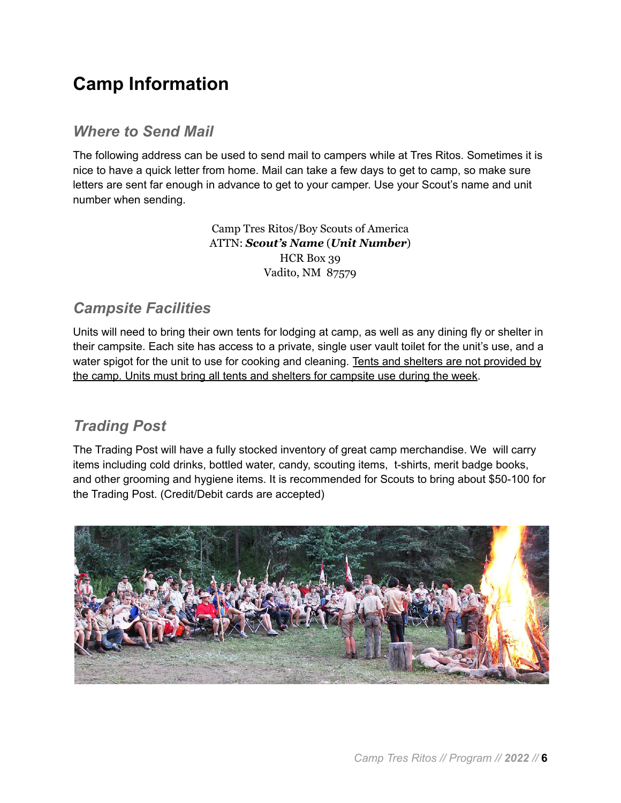## <span id="page-5-0"></span>**Camp Information**

#### <span id="page-5-1"></span>*Where to Send Mail*

The following address can be used to send mail to campers while at Tres Ritos. Sometimes it is nice to have a quick letter from home. Mail can take a few days to get to camp, so make sure letters are sent far enough in advance to get to your camper. Use your Scout's name and unit number when sending.

> Camp Tres Ritos/Boy Scouts of America ATTN: *Scout's Name* (*Unit Number*) HCR Box 39 Vadito, NM 87579

#### <span id="page-5-2"></span>*Campsite Facilities*

Units will need to bring their own tents for lodging at camp, as well as any dining fly or shelter in their campsite. Each site has access to a private, single user vault toilet for the unit's use, and a water spigot for the unit to use for cooking and cleaning. Tents and shelters are not provided by the camp. Units must bring all tents and shelters for campsite use during the week.

#### <span id="page-5-3"></span>*Trading Post*

The Trading Post will have a fully stocked inventory of great camp merchandise. We will carry items including cold drinks, bottled water, candy, scouting items, t-shirts, merit badge books, and other grooming and hygiene items. It is recommended for Scouts to bring about \$50-100 for the Trading Post. (Credit/Debit cards are accepted)

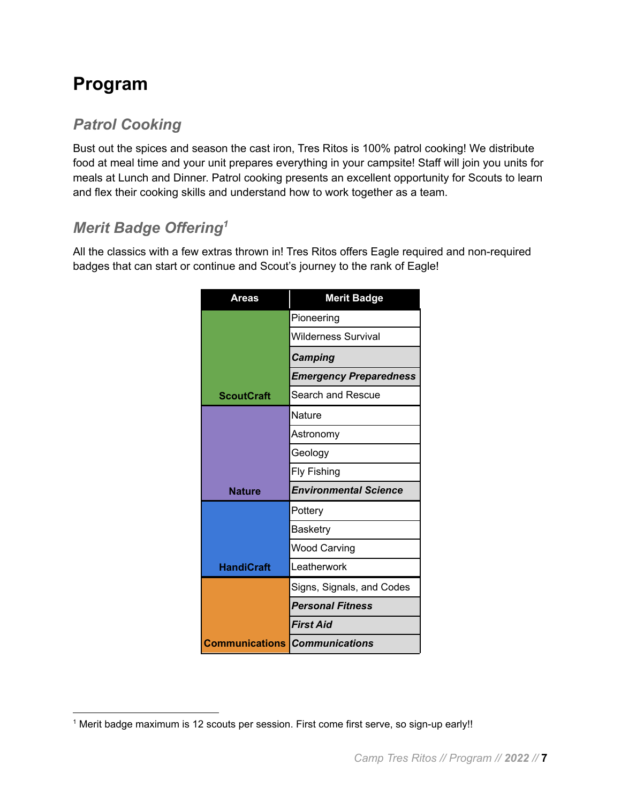## <span id="page-6-0"></span>**Program**

## <span id="page-6-1"></span>*Patrol Cooking*

Bust out the spices and season the cast iron, Tres Ritos is 100% patrol cooking! We distribute food at meal time and your unit prepares everything in your campsite! Staff will join you units for meals at Lunch and Dinner. Patrol cooking presents an excellent opportunity for Scouts to learn and flex their cooking skills and understand how to work together as a team.

## <span id="page-6-2"></span>*Merit Badge Offering<sup>1</sup>*

All the classics with a few extras thrown in! Tres Ritos offers Eagle required and non-required badges that can start or continue and Scout's journey to the rank of Eagle!

| Areas                                | <b>Merit Badge</b>            |
|--------------------------------------|-------------------------------|
|                                      | Pioneering                    |
|                                      | Wilderness Survival           |
|                                      | <b>Camping</b>                |
|                                      | <b>Emergency Preparedness</b> |
| <b>ScoutCraft</b>                    | Search and Rescue             |
|                                      | Nature                        |
|                                      | Astronomy                     |
|                                      | Geology                       |
|                                      | <b>Fly Fishing</b>            |
| <b>Nature</b>                        | <b>Environmental Science</b>  |
|                                      | Pottery                       |
|                                      | Basketry                      |
|                                      | Wood Carving                  |
| <b>HandiCraft</b>                    | Leatherwork                   |
|                                      | Signs, Signals, and Codes     |
|                                      | <b>Personal Fitness</b>       |
|                                      | <b>First Aid</b>              |
| <b>Communications Communications</b> |                               |

<sup>1</sup> Merit badge maximum is 12 scouts per session. First come first serve, so sign-up early!!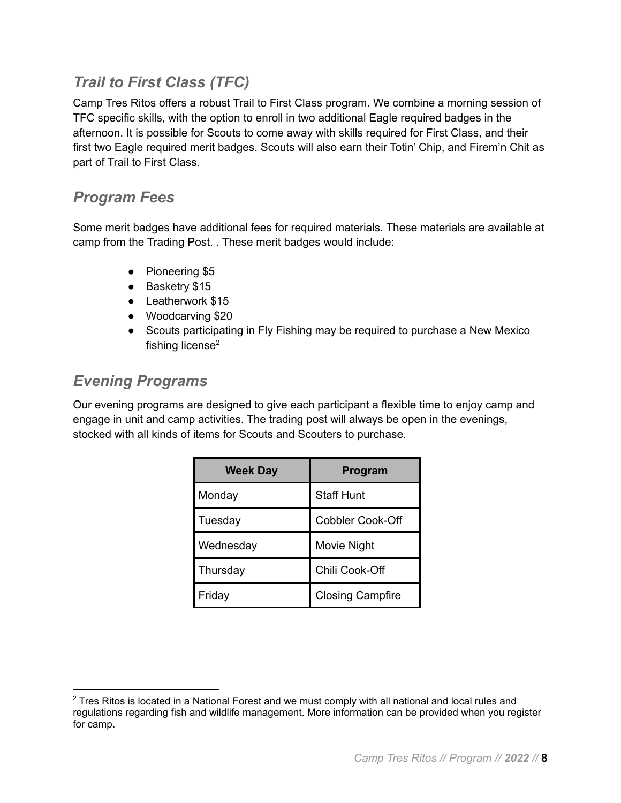### <span id="page-7-0"></span>*Trail to First Class (TFC)*

Camp Tres Ritos offers a robust Trail to First Class program. We combine a morning session of TFC specific skills, with the option to enroll in two additional Eagle required badges in the afternoon. It is possible for Scouts to come away with skills required for First Class, and their first two Eagle required merit badges. Scouts will also earn their Totin' Chip, and Firem'n Chit as part of Trail to First Class.

#### <span id="page-7-1"></span>*Program Fees*

Some merit badges have additional fees for required materials. These materials are available at camp from the Trading Post. . These merit badges would include:

- Pioneering \$5
- Basketry \$15
- Leatherwork \$15
- Woodcarving \$20
- Scouts participating in Fly Fishing may be required to purchase a New Mexico fishing license<sup>2</sup>

#### <span id="page-7-2"></span>*Evening Programs*

Our evening programs are designed to give each participant a flexible time to enjoy camp and engage in unit and camp activities. The trading post will always be open in the evenings, stocked with all kinds of items for Scouts and Scouters to purchase.

| <b>Week Day</b> | Program                 |
|-----------------|-------------------------|
| Monday          | <b>Staff Hunt</b>       |
| Tuesday         | <b>Cobbler Cook-Off</b> |
| Wednesday       | Movie Night             |
| Thursday        | Chili Cook-Off          |
| Friday          | <b>Closing Campfire</b> |

<sup>&</sup>lt;sup>2</sup> Tres Ritos is located in a National Forest and we must comply with all national and local rules and regulations regarding fish and wildlife management. More information can be provided when you register for camp.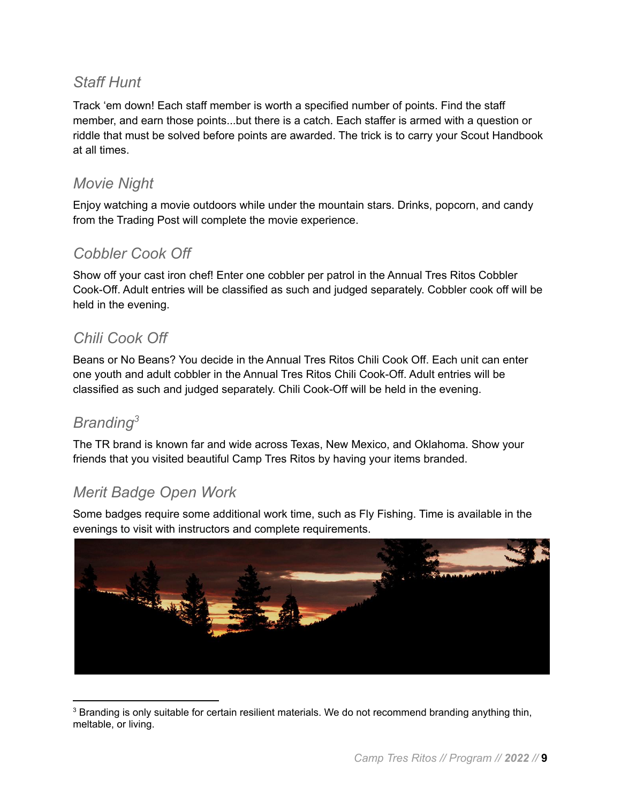#### *Staff Hunt*

Track 'em down! Each staff member is worth a specified number of points. Find the staff member, and earn those points...but there is a catch. Each staffer is armed with a question or riddle that must be solved before points are awarded. The trick is to carry your Scout Handbook at all times.

#### <span id="page-8-0"></span>*Movie Night*

Enjoy watching a movie outdoors while under the mountain stars. Drinks, popcorn, and candy from the Trading Post will complete the movie experience.

#### <span id="page-8-1"></span>*Cobbler Cook Off*

Show off your cast iron chef! Enter one cobbler per patrol in the Annual Tres Ritos Cobbler Cook-Off. Adult entries will be classified as such and judged separately. Cobbler cook off will be held in the evening.

#### <span id="page-8-2"></span>*Chili Cook Off*

Beans or No Beans? You decide in the Annual Tres Ritos Chili Cook Off. Each unit can enter one youth and adult cobbler in the Annual Tres Ritos Chili Cook-Off. Adult entries will be classified as such and judged separately. Chili Cook-Off will be held in the evening.

### <span id="page-8-3"></span>*Branding<sup>3</sup>*

The TR brand is known far and wide across Texas, New Mexico, and Oklahoma. Show your friends that you visited beautiful Camp Tres Ritos by having your items branded.

#### <span id="page-8-4"></span>*Merit Badge Open Work*

Some badges require some additional work time, such as Fly Fishing. Time is available in the evenings to visit with instructors and complete requirements.



<sup>&</sup>lt;sup>3</sup> Branding is only suitable for certain resilient materials. We do not recommend branding anything thin, meltable, or living.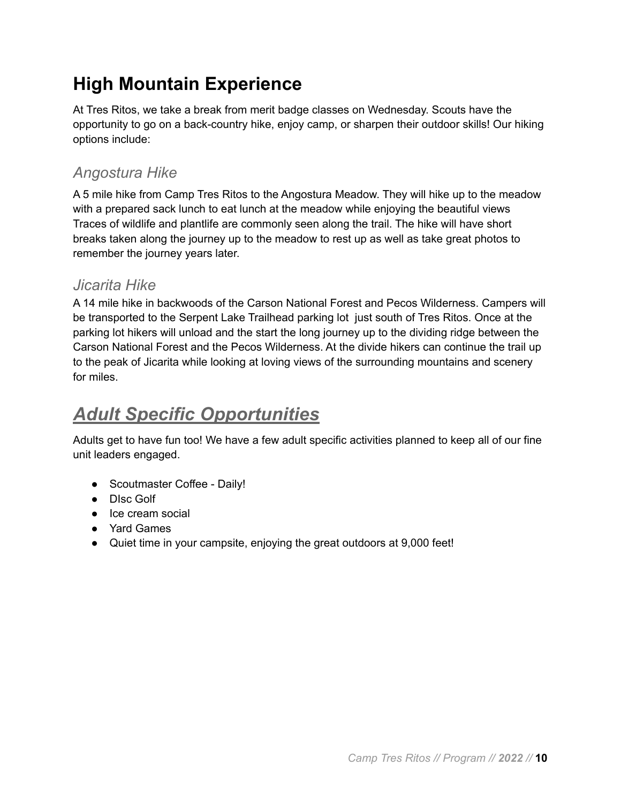# <span id="page-9-0"></span>**High Mountain Experience**

At Tres Ritos, we take a break from merit badge classes on Wednesday. Scouts have the opportunity to go on a back-country hike, enjoy camp, or sharpen their outdoor skills! Our hiking options include:

### <span id="page-9-1"></span>*Angostura Hike*

A 5 mile hike from Camp Tres Ritos to the Angostura Meadow. They will hike up to the meadow with a prepared sack lunch to eat lunch at the meadow while enjoying the beautiful views Traces of wildlife and plantlife are commonly seen along the trail. The hike will have short breaks taken along the journey up to the meadow to rest up as well as take great photos to remember the journey years later.

#### *Jicarita Hike*

A 14 mile hike in backwoods of the Carson National Forest and Pecos Wilderness. Campers will be transported to the Serpent Lake Trailhead parking lot just south of Tres Ritos. Once at the parking lot hikers will unload and the start the long journey up to the dividing ridge between the Carson National Forest and the Pecos Wilderness. At the divide hikers can continue the trail up to the peak of Jicarita while looking at loving views of the surrounding mountains and scenery for miles.

# <span id="page-9-2"></span>*Adult Specific Opportunities*

Adults get to have fun too! We have a few adult specific activities planned to keep all of our fine unit leaders engaged.

- Scoutmaster Coffee Daily!
- DIsc Golf
- Ice cream social
- Yard Games
- Quiet time in your campsite, enjoying the great outdoors at 9,000 feet!